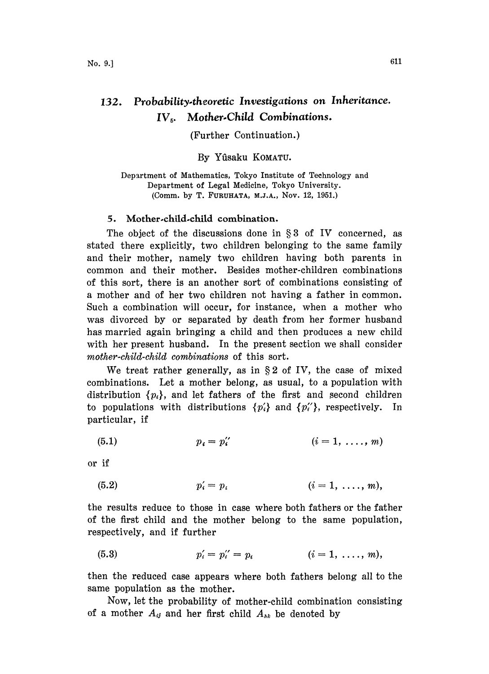## 132. Probability.theoretic Investigations on Inheritance.  $IV<sub>5</sub>$ . Mother-Child Combinations.

## (Further Continuation.)

## By Yûsaku KOMATU.

Department of Mathematics, Tokyo Institute of Technology and Department of Legal Medicine, Tokyo University. (Comm. by T. FURUHATA, M.J.A., Nov. 12, 1951.)

## 5. Mother.child.child combination.

The object of the discussions done in  $\S 3$  of IV concerned, as stated there explicitly, two children belonging to the same family and their mother, namely two children having both parents in common and their mother. Besides mother-children combinations of this sort, there is an another sort of combinations consisting of a mother and of her two children not having a father in common. Such a combination will occur, for instance, when a mother who was divorced by or separated by death from her former husband has married again bringing a child and then produces a new child with her present husband. In the present section we shall consider mother-child-child combinations of this sort.

We treat rather generally, as in  $\S 2$  of IV, the case of mixed combinations. Let a mother belong, as usual, to a population with distribution  $\{p_i\}$ , and let fathers of the first and second children to populations with distributions  $\{p_i'\}$  and  $\{p_i''\}$ , respectively. In particular, if

$$
(5.1) \t\t p_i = p_i'' \t\t (i = 1, \ldots, m)
$$

or if

(5.2) 
$$
p'_i = p_i
$$
  $(i = 1, ..., m),$ 

the results reduce to those in case where both fathers or the father of the first child and the mother belong to the same population, respectively, and if further

(5.3) 
$$
p'_{i} = p''_{i} = p_{i} \qquad (i = 1, \ldots, m),
$$

then the reduced case appears where both fathers belong all to the same population as the mother.

Now, let the probability of mother-child combination consisting of a mother  $A_{ij}$  and her first child  $A_{nk}$  be denoted by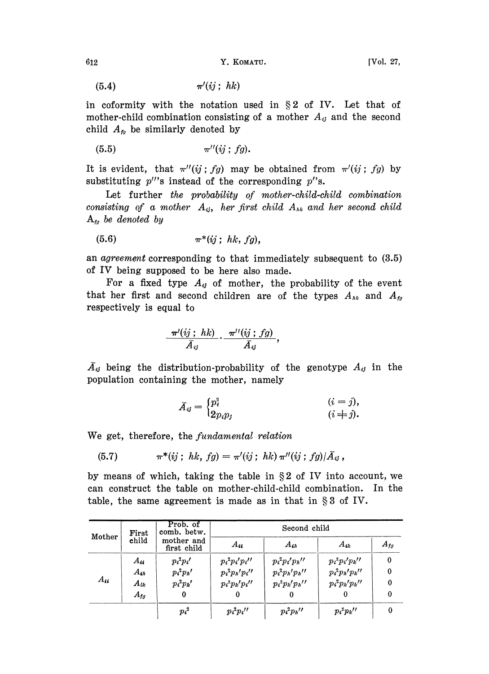(5.4)  $\pi'(ij; h k)$ 

in coformity with the notation used in  $\S 2$  of IV. Let that of mother-child combination consisting of a mother  $A_{ij}$  and the second child  $A_{f_0}$  be similarly denoted by

$$
\pi''(ij;fg).
$$

It is evident, that  $\pi''(ij;fg)$  may be obtained from  $\pi'(ij;fg)$  by substituting  $p''$ s instead of the corresponding  $p''$ s.

Let further the probability of mother-child-child combination consisting of a mother  $A_{ij}$ , her first child  $A_{ik}$  and her second child  $A_{tq}$  be denoted by

$$
(5.6) \qquad \qquad \pi^*(ij\,;\;hk,\;fg),
$$

an agreement corresponding to that immediately subsequent to (3.5) of IV being supposed to be here also made.

For a fixed type  $A_{ij}$  of mother, the probability of the event that her first and second children are of the types  $A_{hk}$  and  $A_{lo}$ respectively is equal to

$$
\frac{\pi'(ij; h k)}{\bar{A}_{ij}} \cdot \frac{\pi''(ij; fg)}{\bar{A}_{ij}},
$$

 $\tilde{A}_{ij}$  being the distribution-probability of the genotype  $A_{ij}$  in the population containing the mother, namely

$$
\bar{A}_{ij} = \begin{cases} p_i^2 & (i = j), \\ 2p_i p_j & (i \neq j). \end{cases}
$$

We get, therefore, the *fundamental relation* 

(5.7) 
$$
\pi^*(ij\,;\; hk,\; fg) = \pi'(ij\,;\; hk)\,\pi''(ij\,;\; fg)/\bar{A}_{ij}\,,
$$

by means of which, taking the table in  $\S 2$  of IV into account, we can construct the table on mother-child-child combination. In the table, the same agreement is made as in that in  $\S 3$  of IV.

|          | First             | Prob. of<br>comb. betw.   |                    | Second child       |                      |          |
|----------|-------------------|---------------------------|--------------------|--------------------|----------------------|----------|
| Mother   | child             | mother and<br>first child | $A_{ii}$           | $A_{ih}$           | $A_{ik}$             | $A_{fg}$ |
|          | $A_{ii}$          | $p_i^2 p_i'$              | $p_i^2 p_i' p_i''$ | $p_i^2 p_i' p_h''$ | $p_i^2 p_i' p_k'$    | $\bf{0}$ |
|          | $A_{4h}$          | $p_i^2 p_h'$              | $p_i^2 p_h' p_i''$ | $p_i^2 p_h' p_h''$ | $p_i^2 p_h' p_{k}''$ | 0        |
| $A_{ii}$ | $A_{ik}$          | $p_i^2 p_k'$              | $p_i^2 p_k' p_i''$ | $p_i^2 p_k' p_h''$ | $p_i^2 p_k' p_k''$   | 0        |
|          | $A_{\mathit{fg}}$ | 0                         |                    | 0                  |                      | 0        |
|          |                   | $p_i^2$                   | $p_i^2 p_i''$      | $p_i^2 p_h$ "      | $p_i^2 p_k$          |          |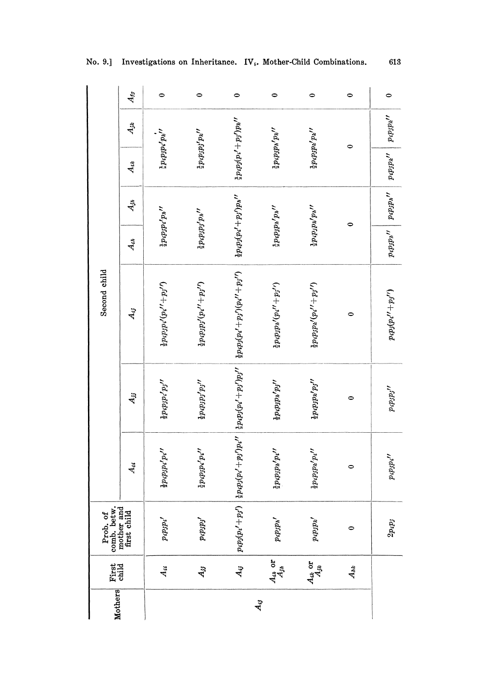| $A_{ii}$<br>Prob. of<br>comb. betw.<br>mother and<br>first child<br>First<br>child |                            |                     |                                                                                                       | $A_{jj}$                     | Second child<br>$A_{ij}$                        | $A_{th}$                                  | $A_{jh}$                        | $A_{ik}$                            | $A_{jk}$    | $A_{fg}$ |
|------------------------------------------------------------------------------------|----------------------------|---------------------|-------------------------------------------------------------------------------------------------------|------------------------------|-------------------------------------------------|-------------------------------------------|---------------------------------|-------------------------------------|-------------|----------|
|                                                                                    | Aii                        | $p_ip_i'$           | $\frac{1}{2}p_ip_jp_i'p_i''$                                                                          | $\frac{1}{2}p_ip_ip_i'p_j''$ | $\frac{1}{2}p_ip_ip_i'(p_i''+p_j'')$            | $2p_ip_ip_i'p{_h}^{\prime\prime}$         |                                 | $2p_ip_ip_i'p_k''$                  |             |          |
|                                                                                    | $A_{jj}$                   | $p_ip_jp_j'$        | $\frac{1}{2}p_ip_jp_i'p_i''$                                                                          | $\frac{1}{2}p_ip_jp_j'p_j''$ | $\frac{1}{2}p_ip_j(p_i''+p_j'')$                | $\frac{1}{2}p_ip_j^fp_h^H$                |                                 | $\ddot{x} p_ip_ip'_ip_k{'}$         |             |          |
|                                                                                    | $A_{ij}$                   | $p_ip_j(p_i'+p_j')$ | $\frac{1}{2}p_{i}p_{j}(p_{i}'+p_{j}')p_{i}''\left[\frac{1}{2}p_{i}p_{j}(p_{i}'+p_{j}')p_{j}''\right]$ |                              | $\frac{1}{2}p_ip_j(p_i'+p_j')(p_i''+p_j'')$     | $\frac{1}{2} p_i p_j (p_i' + p_j') p_h''$ |                                 | $\frac{1}{2}p_ip_j(p_i'+p_j')p_k''$ |             |          |
|                                                                                    | $\frac{A_{in}}{A_{jn}}$ or | $p_ip_jp_n'$        | $\frac{1}{2}p_ip_jp_h'p_i''$                                                                          | $\frac{1}{2}p_ip_jp_i'p_j''$ | $\frac{1}{2}p_ip_jp_h'(p_i''+p_j'')$            | $\frac{1}{4}p_4p_3p_4^{h}p_5^{H}$         |                                 | $\frac{1}{2}p_ip_jp_h'p_k''$        |             |          |
|                                                                                    | $A_{ik}$ or<br>$A_{jk}$    | $p_ip_k'$           | $\frac{1}{2}p_ip_jp_k'p_i''$                                                                          | $\frac{1}{2}p_ip_jp_k'p_j''$ | $\frac{1}{2}p_ip_jp_k'(p_i''+p_j'')$            | $\frac{1}{2}p_ip_jp_k'p_h''$              |                                 | $2p_ip_jp_k'p_k''$                  |             |          |
|                                                                                    | $A_{hk}$                   | $\bullet$           | $\circ$                                                                                               | $\bullet$                    | 0                                               | 0                                         |                                 |                                     | 0           |          |
|                                                                                    |                            | $2p_ip_j$           | $p_ip_ip_i{''}$                                                                                       | $p_ip_jp_j^{\prime\prime}$   | $p_ip_j(p_i^{\prime\prime}+p_j^{\prime\prime})$ |                                           | $p_ip_ip'' \mid p_ip_ip'' \mid$ | $p_4p_3p_4''$                       | $ p_ip_ip'$ |          |

613